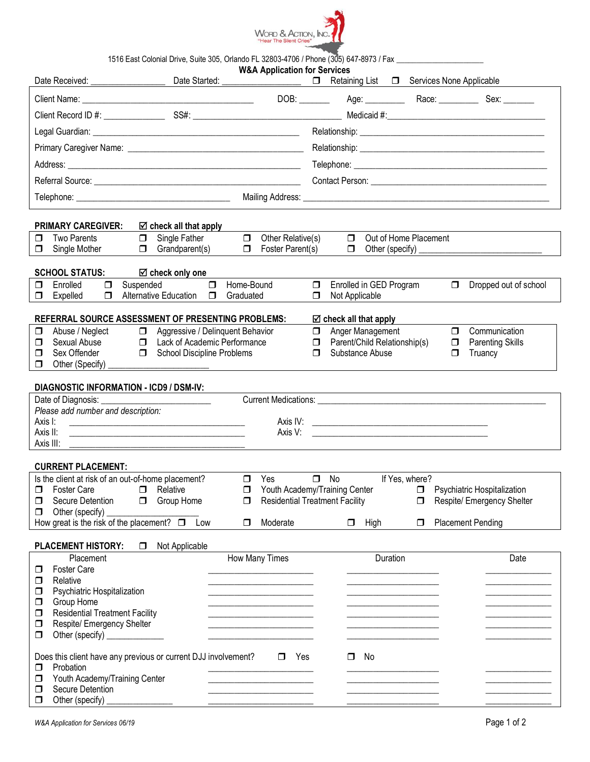

1516 East Colonial Drive, Suite 305, Orlando FL 32803-4706 / Phone (305) 647-8973 / Fax \_

| <b>PRIMARY CAREGIVER:</b><br>$\boxtimes$ check all that apply<br>Out of Home Placement<br>Single Father<br>$\Box$<br>Other Relative(s)<br>$\Box$<br><b>Two Parents</b><br>$\Box$<br>⊓<br>$\Box$ Grandparent(s)<br>$\Box$ Foster Parent(s)<br>Single Mother<br>$\Box$<br>$\Box$<br><b>SCHOOL STATUS:</b><br>$\boxtimes$ check only one<br>$\Box$<br>Enrolled<br>$\Box$<br>Suspended<br>Home-Bound<br>Enrolled in GED Program<br>$\Box$<br>$\Box$<br>Dropped out of school<br>σ<br><b>Alternative Education</b><br>$\Box$<br>$\Box$<br>Expelled<br>$\Box$<br>Graduated<br>$\Box$<br>Not Applicable<br>REFERRAL SOURCE ASSESSMENT OF PRESENTING PROBLEMS:<br>☑ check all that apply<br>Communication<br>Aggressive / Delinquent Behavior<br>Anger Management<br>Abuse / Neglect<br>$\Box$<br>$\Box$<br>$\Box$<br>$\Box$<br>Lack of Academic Performance<br>$\Box$ Parent/Child Relationship(s)<br>⊓<br>Sexual Abuse<br>$\Box$<br>$\Box$<br><b>Parenting Skills</b><br><b>School Discipline Problems</b><br>Sex Offender<br>Substance Abuse<br>$\Box$<br>$\Box$<br>Π.<br>$\Box$<br>Truancy<br>Other (Specify) _____<br>$\Box$<br><b>DIAGNOSTIC INFORMATION - ICD9 / DSM-IV:</b><br>Date of Diagnosis: _<br>Please add number and description:<br>Axis I:<br>Axis II:<br><u> 1999 - Johann Harry Harry Harry Harry Harry Harry Harry Harry Harry Harry Harry Harry Harry Harry Harry Harry</u><br>Axis III:<br><b>CURRENT PLACEMENT:</b><br>Is the client at risk of an out-of-home placement?<br>$\Box$ No<br>If Yes, where?<br>Yes<br>$\Box$<br><b>D</b> Foster Care<br>$\Box$ Relative<br>Youth Academy/Training Center<br>$\Box$<br><b>D</b> Psychiatric Hospitalization<br>Secure Detention<br>◘<br>$\Box$<br>Group Home<br>$\Box$<br><b>Residential Treatment Facility</b><br>Respite/ Emergency Shelter<br>⊔<br>Other (specify)<br>$\Box$<br>How great is the risk of the placement? $\Box$ Low<br><b>Placement Pending</b><br>Moderate<br>High<br>□<br>$\Box$<br>□<br><b>PLACEMENT HISTORY:</b><br>Not Applicable<br>□<br>How Many Times<br>Duration<br>Placement<br>Date<br>Foster Care<br>□<br>Relative<br>□<br>Psychiatric Hospitalization<br>◘<br>Group Home<br>◻<br><b>Residential Treatment Facility</b><br>□<br><u> 1989 - Johann John Stone, mars et al. (</u><br>Respite/ Emergency Shelter<br>□<br>Other (specify) _____________<br>◘<br>Does this client have any previous or current DJJ involvement?<br>Yes<br>No<br>$\Box$<br>$\Box$<br>Probation<br>□<br>Youth Academy/Training Center<br>□ |                                 | <b>W&amp;A Application for Services</b>                    |
|---------------------------------------------------------------------------------------------------------------------------------------------------------------------------------------------------------------------------------------------------------------------------------------------------------------------------------------------------------------------------------------------------------------------------------------------------------------------------------------------------------------------------------------------------------------------------------------------------------------------------------------------------------------------------------------------------------------------------------------------------------------------------------------------------------------------------------------------------------------------------------------------------------------------------------------------------------------------------------------------------------------------------------------------------------------------------------------------------------------------------------------------------------------------------------------------------------------------------------------------------------------------------------------------------------------------------------------------------------------------------------------------------------------------------------------------------------------------------------------------------------------------------------------------------------------------------------------------------------------------------------------------------------------------------------------------------------------------------------------------------------------------------------------------------------------------------------------------------------------------------------------------------------------------------------------------------------------------------------------------------------------------------------------------------------------------------------------------------------------------------------------------------------------------------------------------------------------------------------------------------------------------------------------------------------------------------------------------------------------------------------------------------------------------------------------------------------------------------------------------------------------|---------------------------------|------------------------------------------------------------|
|                                                                                                                                                                                                                                                                                                                                                                                                                                                                                                                                                                                                                                                                                                                                                                                                                                                                                                                                                                                                                                                                                                                                                                                                                                                                                                                                                                                                                                                                                                                                                                                                                                                                                                                                                                                                                                                                                                                                                                                                                                                                                                                                                                                                                                                                                                                                                                                                                                                                                                               | Date Received:<br>Date Started: | Retaining List <b>I</b> Services None Applicable<br>$\Box$ |
|                                                                                                                                                                                                                                                                                                                                                                                                                                                                                                                                                                                                                                                                                                                                                                                                                                                                                                                                                                                                                                                                                                                                                                                                                                                                                                                                                                                                                                                                                                                                                                                                                                                                                                                                                                                                                                                                                                                                                                                                                                                                                                                                                                                                                                                                                                                                                                                                                                                                                                               |                                 |                                                            |
|                                                                                                                                                                                                                                                                                                                                                                                                                                                                                                                                                                                                                                                                                                                                                                                                                                                                                                                                                                                                                                                                                                                                                                                                                                                                                                                                                                                                                                                                                                                                                                                                                                                                                                                                                                                                                                                                                                                                                                                                                                                                                                                                                                                                                                                                                                                                                                                                                                                                                                               |                                 |                                                            |
|                                                                                                                                                                                                                                                                                                                                                                                                                                                                                                                                                                                                                                                                                                                                                                                                                                                                                                                                                                                                                                                                                                                                                                                                                                                                                                                                                                                                                                                                                                                                                                                                                                                                                                                                                                                                                                                                                                                                                                                                                                                                                                                                                                                                                                                                                                                                                                                                                                                                                                               |                                 |                                                            |
|                                                                                                                                                                                                                                                                                                                                                                                                                                                                                                                                                                                                                                                                                                                                                                                                                                                                                                                                                                                                                                                                                                                                                                                                                                                                                                                                                                                                                                                                                                                                                                                                                                                                                                                                                                                                                                                                                                                                                                                                                                                                                                                                                                                                                                                                                                                                                                                                                                                                                                               |                                 |                                                            |
|                                                                                                                                                                                                                                                                                                                                                                                                                                                                                                                                                                                                                                                                                                                                                                                                                                                                                                                                                                                                                                                                                                                                                                                                                                                                                                                                                                                                                                                                                                                                                                                                                                                                                                                                                                                                                                                                                                                                                                                                                                                                                                                                                                                                                                                                                                                                                                                                                                                                                                               |                                 |                                                            |
|                                                                                                                                                                                                                                                                                                                                                                                                                                                                                                                                                                                                                                                                                                                                                                                                                                                                                                                                                                                                                                                                                                                                                                                                                                                                                                                                                                                                                                                                                                                                                                                                                                                                                                                                                                                                                                                                                                                                                                                                                                                                                                                                                                                                                                                                                                                                                                                                                                                                                                               |                                 |                                                            |
|                                                                                                                                                                                                                                                                                                                                                                                                                                                                                                                                                                                                                                                                                                                                                                                                                                                                                                                                                                                                                                                                                                                                                                                                                                                                                                                                                                                                                                                                                                                                                                                                                                                                                                                                                                                                                                                                                                                                                                                                                                                                                                                                                                                                                                                                                                                                                                                                                                                                                                               |                                 |                                                            |
|                                                                                                                                                                                                                                                                                                                                                                                                                                                                                                                                                                                                                                                                                                                                                                                                                                                                                                                                                                                                                                                                                                                                                                                                                                                                                                                                                                                                                                                                                                                                                                                                                                                                                                                                                                                                                                                                                                                                                                                                                                                                                                                                                                                                                                                                                                                                                                                                                                                                                                               |                                 |                                                            |
|                                                                                                                                                                                                                                                                                                                                                                                                                                                                                                                                                                                                                                                                                                                                                                                                                                                                                                                                                                                                                                                                                                                                                                                                                                                                                                                                                                                                                                                                                                                                                                                                                                                                                                                                                                                                                                                                                                                                                                                                                                                                                                                                                                                                                                                                                                                                                                                                                                                                                                               |                                 |                                                            |
|                                                                                                                                                                                                                                                                                                                                                                                                                                                                                                                                                                                                                                                                                                                                                                                                                                                                                                                                                                                                                                                                                                                                                                                                                                                                                                                                                                                                                                                                                                                                                                                                                                                                                                                                                                                                                                                                                                                                                                                                                                                                                                                                                                                                                                                                                                                                                                                                                                                                                                               |                                 |                                                            |
|                                                                                                                                                                                                                                                                                                                                                                                                                                                                                                                                                                                                                                                                                                                                                                                                                                                                                                                                                                                                                                                                                                                                                                                                                                                                                                                                                                                                                                                                                                                                                                                                                                                                                                                                                                                                                                                                                                                                                                                                                                                                                                                                                                                                                                                                                                                                                                                                                                                                                                               |                                 |                                                            |
|                                                                                                                                                                                                                                                                                                                                                                                                                                                                                                                                                                                                                                                                                                                                                                                                                                                                                                                                                                                                                                                                                                                                                                                                                                                                                                                                                                                                                                                                                                                                                                                                                                                                                                                                                                                                                                                                                                                                                                                                                                                                                                                                                                                                                                                                                                                                                                                                                                                                                                               |                                 |                                                            |
|                                                                                                                                                                                                                                                                                                                                                                                                                                                                                                                                                                                                                                                                                                                                                                                                                                                                                                                                                                                                                                                                                                                                                                                                                                                                                                                                                                                                                                                                                                                                                                                                                                                                                                                                                                                                                                                                                                                                                                                                                                                                                                                                                                                                                                                                                                                                                                                                                                                                                                               |                                 |                                                            |
|                                                                                                                                                                                                                                                                                                                                                                                                                                                                                                                                                                                                                                                                                                                                                                                                                                                                                                                                                                                                                                                                                                                                                                                                                                                                                                                                                                                                                                                                                                                                                                                                                                                                                                                                                                                                                                                                                                                                                                                                                                                                                                                                                                                                                                                                                                                                                                                                                                                                                                               |                                 |                                                            |
|                                                                                                                                                                                                                                                                                                                                                                                                                                                                                                                                                                                                                                                                                                                                                                                                                                                                                                                                                                                                                                                                                                                                                                                                                                                                                                                                                                                                                                                                                                                                                                                                                                                                                                                                                                                                                                                                                                                                                                                                                                                                                                                                                                                                                                                                                                                                                                                                                                                                                                               |                                 |                                                            |
|                                                                                                                                                                                                                                                                                                                                                                                                                                                                                                                                                                                                                                                                                                                                                                                                                                                                                                                                                                                                                                                                                                                                                                                                                                                                                                                                                                                                                                                                                                                                                                                                                                                                                                                                                                                                                                                                                                                                                                                                                                                                                                                                                                                                                                                                                                                                                                                                                                                                                                               |                                 |                                                            |
|                                                                                                                                                                                                                                                                                                                                                                                                                                                                                                                                                                                                                                                                                                                                                                                                                                                                                                                                                                                                                                                                                                                                                                                                                                                                                                                                                                                                                                                                                                                                                                                                                                                                                                                                                                                                                                                                                                                                                                                                                                                                                                                                                                                                                                                                                                                                                                                                                                                                                                               |                                 |                                                            |
|                                                                                                                                                                                                                                                                                                                                                                                                                                                                                                                                                                                                                                                                                                                                                                                                                                                                                                                                                                                                                                                                                                                                                                                                                                                                                                                                                                                                                                                                                                                                                                                                                                                                                                                                                                                                                                                                                                                                                                                                                                                                                                                                                                                                                                                                                                                                                                                                                                                                                                               |                                 |                                                            |
|                                                                                                                                                                                                                                                                                                                                                                                                                                                                                                                                                                                                                                                                                                                                                                                                                                                                                                                                                                                                                                                                                                                                                                                                                                                                                                                                                                                                                                                                                                                                                                                                                                                                                                                                                                                                                                                                                                                                                                                                                                                                                                                                                                                                                                                                                                                                                                                                                                                                                                               |                                 |                                                            |
|                                                                                                                                                                                                                                                                                                                                                                                                                                                                                                                                                                                                                                                                                                                                                                                                                                                                                                                                                                                                                                                                                                                                                                                                                                                                                                                                                                                                                                                                                                                                                                                                                                                                                                                                                                                                                                                                                                                                                                                                                                                                                                                                                                                                                                                                                                                                                                                                                                                                                                               |                                 |                                                            |
|                                                                                                                                                                                                                                                                                                                                                                                                                                                                                                                                                                                                                                                                                                                                                                                                                                                                                                                                                                                                                                                                                                                                                                                                                                                                                                                                                                                                                                                                                                                                                                                                                                                                                                                                                                                                                                                                                                                                                                                                                                                                                                                                                                                                                                                                                                                                                                                                                                                                                                               |                                 |                                                            |
|                                                                                                                                                                                                                                                                                                                                                                                                                                                                                                                                                                                                                                                                                                                                                                                                                                                                                                                                                                                                                                                                                                                                                                                                                                                                                                                                                                                                                                                                                                                                                                                                                                                                                                                                                                                                                                                                                                                                                                                                                                                                                                                                                                                                                                                                                                                                                                                                                                                                                                               |                                 |                                                            |
|                                                                                                                                                                                                                                                                                                                                                                                                                                                                                                                                                                                                                                                                                                                                                                                                                                                                                                                                                                                                                                                                                                                                                                                                                                                                                                                                                                                                                                                                                                                                                                                                                                                                                                                                                                                                                                                                                                                                                                                                                                                                                                                                                                                                                                                                                                                                                                                                                                                                                                               |                                 |                                                            |
|                                                                                                                                                                                                                                                                                                                                                                                                                                                                                                                                                                                                                                                                                                                                                                                                                                                                                                                                                                                                                                                                                                                                                                                                                                                                                                                                                                                                                                                                                                                                                                                                                                                                                                                                                                                                                                                                                                                                                                                                                                                                                                                                                                                                                                                                                                                                                                                                                                                                                                               |                                 |                                                            |
|                                                                                                                                                                                                                                                                                                                                                                                                                                                                                                                                                                                                                                                                                                                                                                                                                                                                                                                                                                                                                                                                                                                                                                                                                                                                                                                                                                                                                                                                                                                                                                                                                                                                                                                                                                                                                                                                                                                                                                                                                                                                                                                                                                                                                                                                                                                                                                                                                                                                                                               |                                 |                                                            |
|                                                                                                                                                                                                                                                                                                                                                                                                                                                                                                                                                                                                                                                                                                                                                                                                                                                                                                                                                                                                                                                                                                                                                                                                                                                                                                                                                                                                                                                                                                                                                                                                                                                                                                                                                                                                                                                                                                                                                                                                                                                                                                                                                                                                                                                                                                                                                                                                                                                                                                               |                                 |                                                            |
|                                                                                                                                                                                                                                                                                                                                                                                                                                                                                                                                                                                                                                                                                                                                                                                                                                                                                                                                                                                                                                                                                                                                                                                                                                                                                                                                                                                                                                                                                                                                                                                                                                                                                                                                                                                                                                                                                                                                                                                                                                                                                                                                                                                                                                                                                                                                                                                                                                                                                                               |                                 |                                                            |
|                                                                                                                                                                                                                                                                                                                                                                                                                                                                                                                                                                                                                                                                                                                                                                                                                                                                                                                                                                                                                                                                                                                                                                                                                                                                                                                                                                                                                                                                                                                                                                                                                                                                                                                                                                                                                                                                                                                                                                                                                                                                                                                                                                                                                                                                                                                                                                                                                                                                                                               |                                 |                                                            |
|                                                                                                                                                                                                                                                                                                                                                                                                                                                                                                                                                                                                                                                                                                                                                                                                                                                                                                                                                                                                                                                                                                                                                                                                                                                                                                                                                                                                                                                                                                                                                                                                                                                                                                                                                                                                                                                                                                                                                                                                                                                                                                                                                                                                                                                                                                                                                                                                                                                                                                               |                                 |                                                            |
|                                                                                                                                                                                                                                                                                                                                                                                                                                                                                                                                                                                                                                                                                                                                                                                                                                                                                                                                                                                                                                                                                                                                                                                                                                                                                                                                                                                                                                                                                                                                                                                                                                                                                                                                                                                                                                                                                                                                                                                                                                                                                                                                                                                                                                                                                                                                                                                                                                                                                                               |                                 |                                                            |
|                                                                                                                                                                                                                                                                                                                                                                                                                                                                                                                                                                                                                                                                                                                                                                                                                                                                                                                                                                                                                                                                                                                                                                                                                                                                                                                                                                                                                                                                                                                                                                                                                                                                                                                                                                                                                                                                                                                                                                                                                                                                                                                                                                                                                                                                                                                                                                                                                                                                                                               |                                 |                                                            |
|                                                                                                                                                                                                                                                                                                                                                                                                                                                                                                                                                                                                                                                                                                                                                                                                                                                                                                                                                                                                                                                                                                                                                                                                                                                                                                                                                                                                                                                                                                                                                                                                                                                                                                                                                                                                                                                                                                                                                                                                                                                                                                                                                                                                                                                                                                                                                                                                                                                                                                               |                                 |                                                            |
|                                                                                                                                                                                                                                                                                                                                                                                                                                                                                                                                                                                                                                                                                                                                                                                                                                                                                                                                                                                                                                                                                                                                                                                                                                                                                                                                                                                                                                                                                                                                                                                                                                                                                                                                                                                                                                                                                                                                                                                                                                                                                                                                                                                                                                                                                                                                                                                                                                                                                                               |                                 |                                                            |
|                                                                                                                                                                                                                                                                                                                                                                                                                                                                                                                                                                                                                                                                                                                                                                                                                                                                                                                                                                                                                                                                                                                                                                                                                                                                                                                                                                                                                                                                                                                                                                                                                                                                                                                                                                                                                                                                                                                                                                                                                                                                                                                                                                                                                                                                                                                                                                                                                                                                                                               |                                 |                                                            |
|                                                                                                                                                                                                                                                                                                                                                                                                                                                                                                                                                                                                                                                                                                                                                                                                                                                                                                                                                                                                                                                                                                                                                                                                                                                                                                                                                                                                                                                                                                                                                                                                                                                                                                                                                                                                                                                                                                                                                                                                                                                                                                                                                                                                                                                                                                                                                                                                                                                                                                               |                                 |                                                            |
|                                                                                                                                                                                                                                                                                                                                                                                                                                                                                                                                                                                                                                                                                                                                                                                                                                                                                                                                                                                                                                                                                                                                                                                                                                                                                                                                                                                                                                                                                                                                                                                                                                                                                                                                                                                                                                                                                                                                                                                                                                                                                                                                                                                                                                                                                                                                                                                                                                                                                                               |                                 |                                                            |
| the contract of the contract of the contract of the contract of the contract of<br>Other (specify)<br>□                                                                                                                                                                                                                                                                                                                                                                                                                                                                                                                                                                                                                                                                                                                                                                                                                                                                                                                                                                                                                                                                                                                                                                                                                                                                                                                                                                                                                                                                                                                                                                                                                                                                                                                                                                                                                                                                                                                                                                                                                                                                                                                                                                                                                                                                                                                                                                                                       | Secure Detention<br>□           |                                                            |